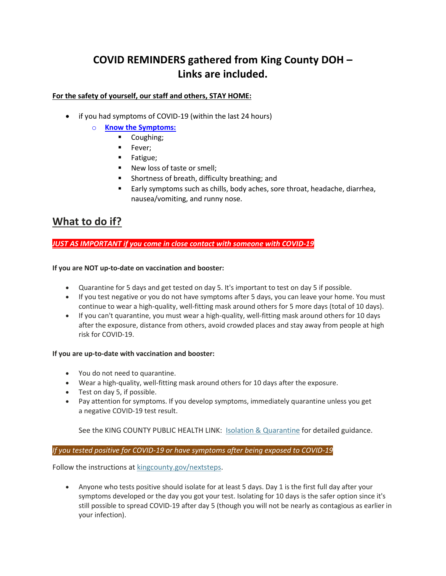# **COVID REMINDERS gathered from King County DOH – Links are included.**

# **For the safety of yourself, our staff and others, STAY HOME:**

- if you had symptoms of COVID-19 (within the last 24 hours)
	- o **[Know the Symptoms:](https://www.cdc.gov/coronavirus/2019-ncov/symptoms-testing/symptoms.html)**
		- Coughing;
		- Fever;
		- Fatigue;
		- New loss of taste or smell;
		- Shortness of breath, difficulty breathing; and
		- Early symptoms such as chills, body aches, sore throat, headache, diarrhea, nausea/vomiting, and runny nose.

# **What to do if?**

*JUST AS IMPORTANT if you come in close contact with someone with COVID-19*

## **If you are NOT up-to-date on vaccination and booster:**

- Quarantine for 5 days and get tested on day 5. It's important to test on day 5 if possible.
- If you test negative or you do not have symptoms after 5 days, you can leave your home. You must continue to wear a high-quality, well-fitting mask around others for 5 more days (total of 10 days).
- If you can't quarantine, you must wear a high-quality, well-fitting mask around others for 10 days after the exposure, distance from others, avoid crowded places and stay away from people at high risk for COVID-19.

#### **If you are up-to-date with vaccination and booster:**

- You do not need to quarantine.
- Wear a high-quality, well-fitting mask around others for 10 days after the exposure.
- Test on day 5, if possible.
- Pay attention for symptoms. If you develop symptoms, immediately quarantine unless you get a negative COVID-19 test result.

See the KING COUNTY PUBLIC HEALTH LINK: [Isolation & Quarantine](https://kingcounty.gov/depts/health/covid-19/care/quarantine.aspx) for detailed guidance.

## *If you tested positive for COVID-19 or have symptoms after being exposed to COVID-19*

Follow the instructions at [kingcounty.gov/nextsteps.](https://kingcounty.gov/depts/health/covid-19/care/test-next-steps.aspx)

• Anyone who tests positive should isolate for at least 5 days. Day 1 is the first full day after your symptoms developed or the day you got your test. Isolating for 10 days is the safer option since it's still possible to spread COVID-19 after day 5 (though you will not be nearly as contagious as earlier in your infection).